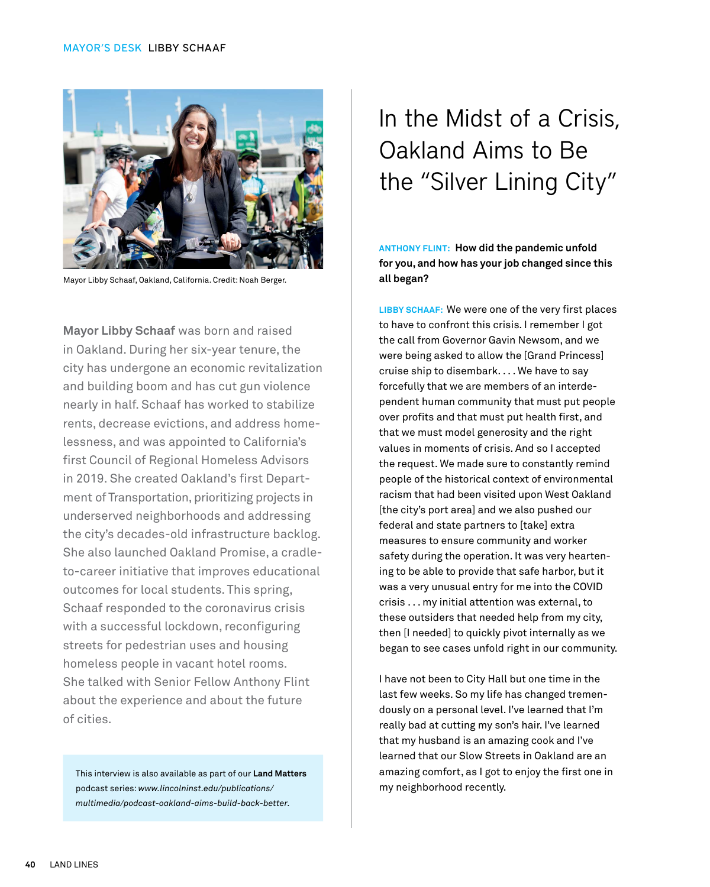

Mayor Libby Schaaf, Oakland, California. Credit: Noah Berger.

**Mayor Libby Schaaf** was born and raised in Oakland. During her six-year tenure, the city has undergone an economic revitalization and building boom and has cut gun violence nearly in half. Schaaf has worked to stabilize rents, decrease evictions, and address homelessness, and was appointed to California's first Council of Regional Homeless Advisors in 2019. She created Oakland's first Department of Transportation, prioritizing projects in underserved neighborhoods and addressing the city's decades-old infrastructure backlog. She also launched Oakland Promise, a cradleto-career initiative that improves educational outcomes for local students. This spring, Schaaf responded to the coronavirus crisis with a successful lockdown, reconfiguring streets for pedestrian uses and housing homeless people in vacant hotel rooms. She talked with Senior Fellow Anthony Flint about the experience and about the future of cities.

This interview is also available as part of our **Land Matters** podcast series: *[www.lincolninst.edu/publications/](https://www.lincolninst.edu/publications/multimedia/podcast-oakland-aims-build-back-better) [multimedia/podcast-oakland-aims-build-back-better](https://www.lincolninst.edu/publications/multimedia/podcast-oakland-aims-build-back-better).* 

## In the Midst of a Crisis, Oakland Aims to Be the "Silver Lining City"

**ANTHONY FLINT: How did the pandemic unfold for you, and how has your job changed since this all began?**

**LIBBY SCHAAF:** We were one of the very first places to have to confront this crisis. I remember I got the call from Governor Gavin Newsom, and we were being asked to allow the [Grand Princess] cruise ship to disembark. . . . We have to say forcefully that we are members of an interdependent human community that must put people over profits and that must put health first, and that we must model generosity and the right values in moments of crisis. And so I accepted the request. We made sure to constantly remind people of the historical context of environmental racism that had been visited upon West Oakland [the city's port area] and we also pushed our federal and state partners to [take] extra measures to ensure community and worker safety during the operation. It was very heartening to be able to provide that safe harbor, but it was a very unusual entry for me into the COVID crisis . . . my initial attention was external, to these outsiders that needed help from my city, then [I needed] to quickly pivot internally as we began to see cases unfold right in our community.

I have not been to City Hall but one time in the last few weeks. So my life has changed tremendously on a personal level. I've learned that I'm really bad at cutting my son's hair. I've learned that my husband is an amazing cook and I've learned that our Slow Streets in Oakland are an amazing comfort, as I got to enjoy the first one in my neighborhood recently.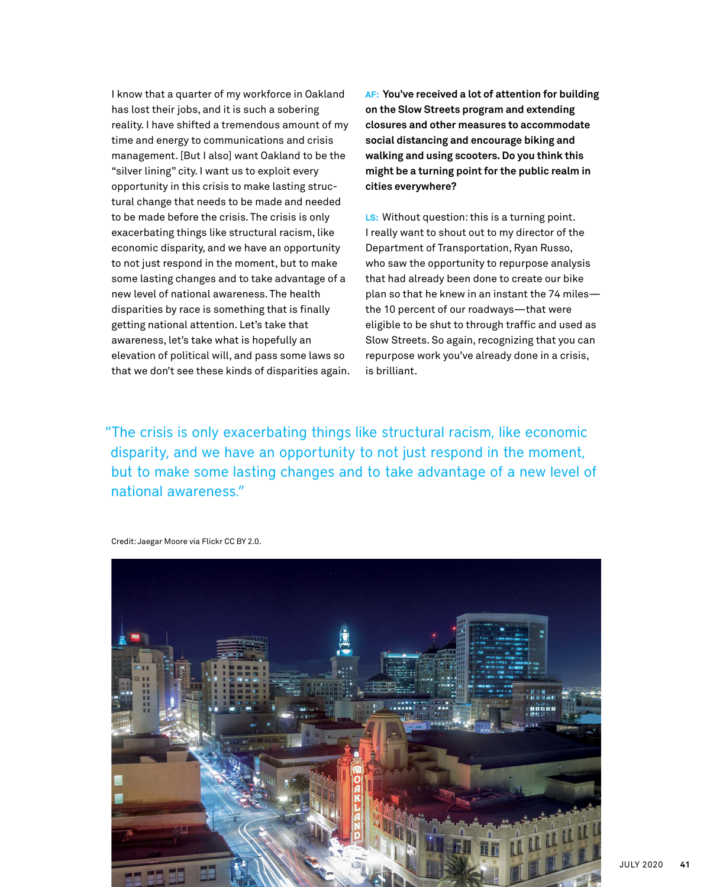I know that a quarter of my workforce in Oakland has lost their jobs, and it is such a sobering reality. I have shifted a tremendous amount of my time and energy to communications and crisis management. [But I also] want Oakland to be the "silver lining" city. I want us to exploit every opportunity in this crisis to make lasting structural change that needs to be made and needed to be made before the crisis. The crisis is only exacerbating things like structural racism, like economic disparity, and we have an opportunity to not just respond in the moment, but to make some lasting changes and to take advantage of a new level of national awareness. The health disparities by race is something that is finally getting national attention. Let's take that awareness, let's take what is hopefully an elevation of political will, and pass some laws so that we don't see these kinds of disparities again. **AF: You've received a lot of attention for building on the Slow Streets program and extending closures and other measures to accommodate social distancing and encourage biking and walking and using scooters. Do you think this might be a turning point for the public realm in cities everywhere?**

**LS:** Without question: this is a turning point. I really want to shout out to my director of the Department of Transportation, Ryan Russo, who saw the opportunity to repurpose analysis that had already been done to create our bike plan so that he knew in an instant the 74 miles the 10 percent of our roadways—that were eligible to be shut to through traffic and used as Slow Streets. So again, recognizing that you can repurpose work you've already done in a crisis, is brilliant.

"The crisis is only exacerbating things like structural racism, like economic disparity, and we have an opportunity to not just respond in the moment, but to make some lasting changes and to take advantage of a new level of national awareness."

Credit: Jaegar Moore via Flickr CC BY 2.0.

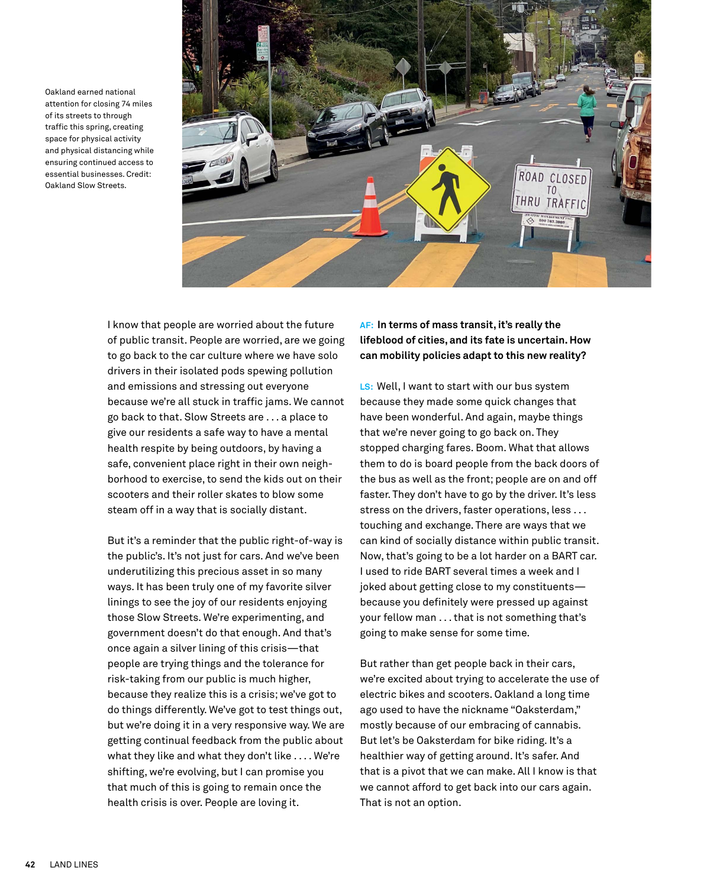Oakland earned national attention for closing 74 miles of its streets to through traffic this spring, creating space for physical activity and physical distancing while ensuring continued access to essential businesses. Credit: Oakland Slow Streets.



I know that people are worried about the future of public transit. People are worried, are we going to go back to the car culture where we have solo drivers in their isolated pods spewing pollution and emissions and stressing out everyone because we're all stuck in traffic jams. We cannot go back to that. Slow Streets are . . . a place to give our residents a safe way to have a mental health respite by being outdoors, by having a safe, convenient place right in their own neighborhood to exercise, to send the kids out on their scooters and their roller skates to blow some steam off in a way that is socially distant.

But it's a reminder that the public right-of-way is the public's. It's not just for cars. And we've been underutilizing this precious asset in so many ways. It has been truly one of my favorite silver linings to see the joy of our residents enjoying those Slow Streets. We're experimenting, and government doesn't do that enough. And that's once again a silver lining of this crisis—that people are trying things and the tolerance for risk-taking from our public is much higher, because they realize this is a crisis; we've got to do things differently. We've got to test things out, but we're doing it in a very responsive way. We are getting continual feedback from the public about what they like and what they don't like . . . . We're shifting, we're evolving, but I can promise you that much of this is going to remain once the health crisis is over. People are loving it.

## **AF: In terms of mass transit, it's really the lifeblood of cities, and its fate is uncertain. How can mobility policies adapt to this new reality?**

**LS:** Well, I want to start with our bus system because they made some quick changes that have been wonderful. And again, maybe things that we're never going to go back on. They stopped charging fares. Boom. What that allows them to do is board people from the back doors of the bus as well as the front; people are on and off faster. They don't have to go by the driver. It's less stress on the drivers, faster operations, less . . . touching and exchange. There are ways that we can kind of socially distance within public transit. Now, that's going to be a lot harder on a BART car. I used to ride BART several times a week and I joked about getting close to my constituents because you definitely were pressed up against your fellow man . . . that is not something that's going to make sense for some time.

But rather than get people back in their cars, we're excited about trying to accelerate the use of electric bikes and scooters. Oakland a long time ago used to have the nickname "Oaksterdam," mostly because of our embracing of cannabis. But let's be Oaksterdam for bike riding. It's a healthier way of getting around. It's safer. And that is a pivot that we can make. All I know is that we cannot afford to get back into our cars again. That is not an option.